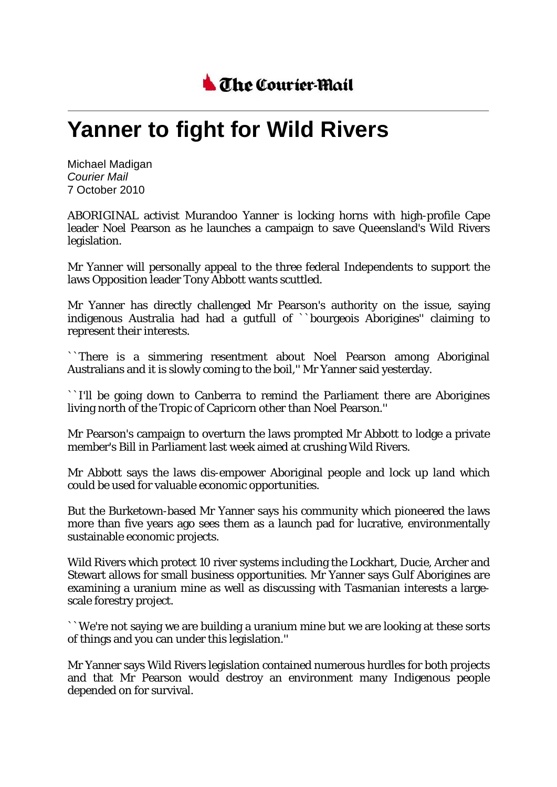

## **Yanner to fight for Wild Rivers**

Michael Madigan *Courier Mail* 7 October 2010

ABORIGINAL activist Murandoo Yanner is locking horns with high-profile Cape leader Noel Pearson as he launches a campaign to save Queensland's Wild Rivers legislation.

Mr Yanner will personally appeal to the three federal Independents to support the laws Opposition leader Tony Abbott wants scuttled.

Mr Yanner has directly challenged Mr Pearson's authority on the issue, saying indigenous Australia had had a gutfull of ``bourgeois Aborigines'' claiming to represent their interests.

``There is a simmering resentment about Noel Pearson among Aboriginal Australians and it is slowly coming to the boil,'' Mr Yanner said yesterday.

``I'll be going down to Canberra to remind the Parliament there are Aborigines living north of the Tropic of Capricorn other than Noel Pearson.''

Mr Pearson's campaign to overturn the laws prompted Mr Abbott to lodge a private member's Bill in Parliament last week aimed at crushing Wild Rivers.

Mr Abbott says the laws dis-empower Aboriginal people and lock up land which could be used for valuable economic opportunities.

But the Burketown-based Mr Yanner says his community which pioneered the laws more than five years ago sees them as a launch pad for lucrative, environmentally sustainable economic projects.

Wild Rivers which protect 10 river systems including the Lockhart, Ducie, Archer and Stewart allows for small business opportunities. Mr Yanner says Gulf Aborigines are examining a uranium mine as well as discussing with Tasmanian interests a largescale forestry project.

``We're not saying we are building a uranium mine but we are looking at these sorts of things and you can under this legislation.''

Mr Yanner says Wild Rivers legislation contained numerous hurdles for both projects and that Mr Pearson would destroy an environment many Indigenous people depended on for survival.